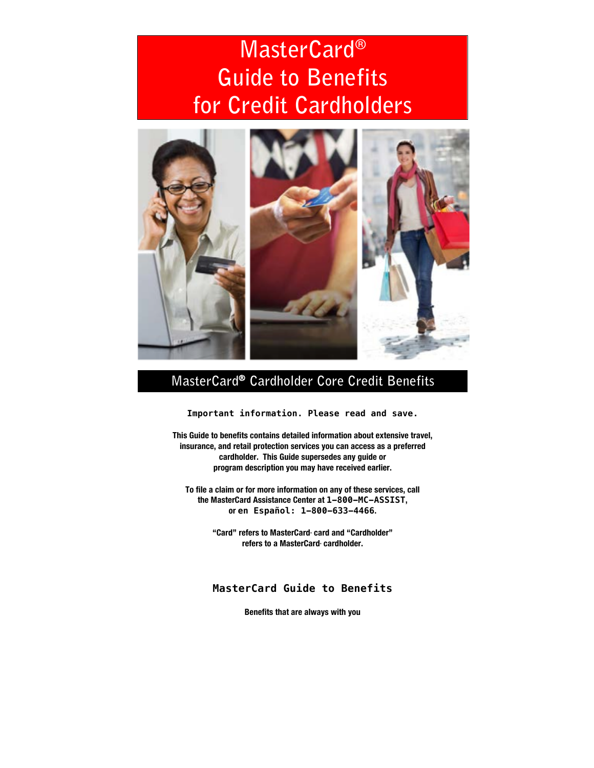# **MasterCard® Guide to Benefits for Credit Cardholders**



# **MasterCard® Cardholder Core Credit Benefits**

**Important information. Please read and save.**

**This Guide to benefits contains detailed information about extensive travel, insurance, and retail protection services you can access as a preferred cardholder. This Guide supersedes any guide or program description you may have received earlier.**

**To file a claim or for more information on any of these services, call the MasterCard Assistance Center at 1-800-MC-ASSIST, or en Español: 1-800-633-4466.**

> **"Card" refers to MasterCard® card and "Cardholder" refers to a MasterCard® cardholder.**

**MasterCard Guide to Benefits**

**Benefits that are always with you**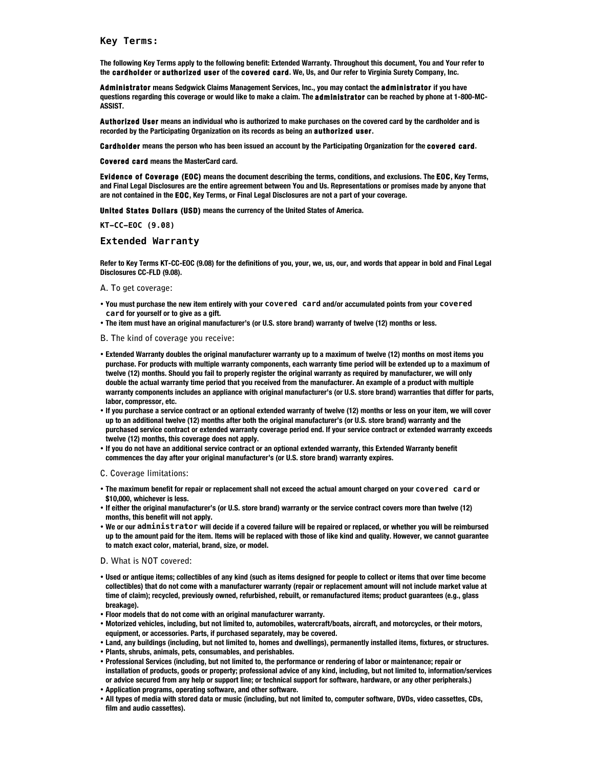**Key Terms:**

**The following Key Terms apply to the following benefit: Extended Warranty. Throughout this document, You and Your refer to the cardholder or authorized user of the covered card. We, Us, and Our refer to Virginia Surety Company, Inc.** 

**Administrator means Sedgwick Claims Management Services, Inc., you may contact the administrator if you have questions regarding this coverage or would like to make a claim. The administrator can be reached by phone at 1-800-MC-ASSIST.**

**Authorized User means an individual who is authorized to make purchases on the covered card by the cardholder and is recorded by the Participating Organization on its records as being an authorized user.**

**Cardholder means the person who has been issued an account by the Participating Organization for the covered card.**

**Covered card means the MasterCard card.**

**Evidence of Coverage (EOC) means the document describing the terms, conditions, and exclusions. The EOC, Key Terms, and Final Legal Disclosures are the entire agreement between You and Us. Representations or promises made by anyone that are not contained in the EOC, Key Terms, or Final Legal Disclosures are not a part of your coverage.**

**United States Dollars (USD) means the currency of the United States of America.**

**KT-CC-EOC (9.08)**

#### **Extended Warranty**

**Refer to Key Terms KT-CC-EOC (9.08) for the definitions of you, your, we, us, our, and words that appear in bold and Final Legal Disclosures CC-FLD (9.08).** 

#### **A. To get coverage:**

- **You must purchase the new item entirely with your covered card and/or accumulated points from your covered card for yourself or to give as a gift.**
- **The item must have an original manufacturer's (or U.S. store brand) warranty of twelve (12) months or less.**
- **B. The kind of coverage you receive:**
- **Extended Warranty doubles the original manufacturer warranty up to a maximum of twelve (12) months on most items you purchase. For products with multiple warranty components, each warranty time period will be extended up to a maximum of twelve (12) months. Should you fail to properly register the original warranty as required by manufacturer, we will only double the actual warranty time period that you received from the manufacturer. An example of a product with multiple warranty components includes an appliance with original manufacturer's (or U.S. store brand) warranties that differ for parts, labor, compressor, etc.**
- **If you purchase a service contract or an optional extended warranty of twelve (12) months or less on your item, we will cover up to an additional twelve (12) months after both the original manufacturer's (or U.S. store brand) warranty and the purchased service contract or extended warranty coverage period end. If your service contract or extended warranty exceeds twelve (12) months, this coverage does not apply.**
- **If you do not have an additional service contract or an optional extended warranty, this Extended Warranty benefit commences the day after your original manufacturer's (or U.S. store brand) warranty expires.**

#### **C. Coverage limitations:**

- **The maximum benefit for repair or replacement shall not exceed the actual amount charged on your covered card or \$10,000, whichever is less.**
- **If either the original manufacturer's (or U.S. store brand) warranty or the service contract covers more than twelve (12) months, this benefit will not apply.**
- **We or our administrator will decide if a covered failure will be repaired or replaced, or whether you will be reimbursed up to the amount paid for the item. Items will be replaced with those of like kind and quality. However, we cannot guarantee to match exact color, material, brand, size, or model.**

#### **D. What is NOT covered:**

- **Used or antique items; collectibles of any kind (such as items designed for people to collect or items that over time become collectibles) that do not come with a manufacturer warranty (repair or replacement amount will not include market value at time of claim); recycled, previously owned, refurbished, rebuilt, or remanufactured items; product guarantees (e.g., glass breakage).**
- **Floor models that do not come with an original manufacturer warranty.**
- **Motorized vehicles, including, but not limited to, automobiles, watercraft/boats, aircraft, and motorcycles, or their motors, equipment, or accessories. Parts, if purchased separately, may be covered.**
- **Land, any buildings (including, but not limited to, homes and dwellings), permanently installed items, fixtures, or structures.**
- **Plants, shrubs, animals, pets, consumables, and perishables.**
- **Professional Services (including, but not limited to, the performance or rendering of labor or maintenance; repair or installation of products, goods or property; professional advice of any kind, including, but not limited to, information/services or advice secured from any help or support line; or technical support for software, hardware, or any other peripherals.)**
- **Application programs, operating software, and other software.**
- **All types of media with stored data or music (including, but not limited to, computer software, DVDs, video cassettes, CDs, film and audio cassettes).**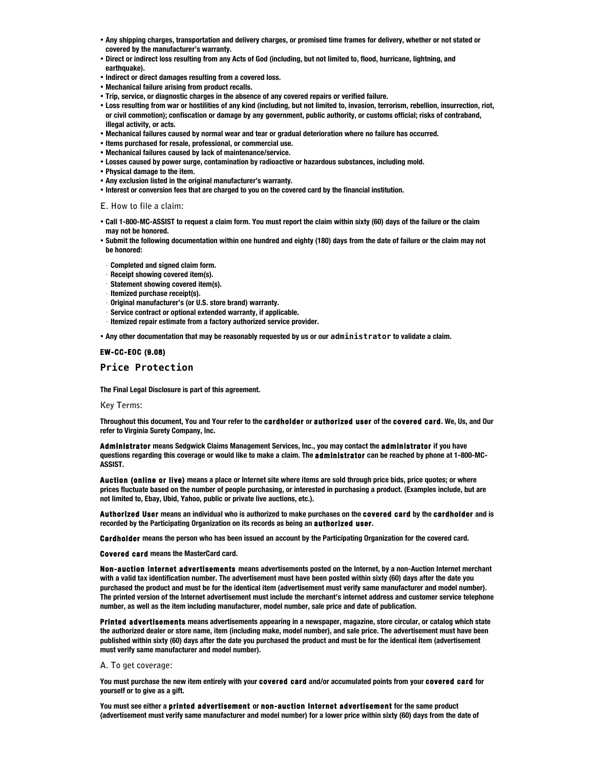- **Any shipping charges, transportation and delivery charges, or promised time frames for delivery, whether or not stated or covered by the manufacturer's warranty.**
- **Direct or indirect loss resulting from any Acts of God (including, but not limited to, flood, hurricane, lightning, and earthquake).**
- **Indirect or direct damages resulting from a covered loss.**
- **Mechanical failure arising from product recalls.**
- **Trip, service, or diagnostic charges in the absence of any covered repairs or verified failure.**
- **Loss resulting from war or hostilities of any kind (including, but not limited to, invasion, terrorism, rebellion, insurrection, riot, or civil commotion); confiscation or damage by any government, public authority, or customs official; risks of contraband, illegal activity, or acts.**
- **Mechanical failures caused by normal wear and tear or gradual deterioration where no failure has occurred.**
- **Items purchased for resale, professional, or commercial use.**
- **Mechanical failures caused by lack of maintenance/service.**
- **Losses caused by power surge, contamination by radioactive or hazardous substances, including mold.**
- **Physical damage to the item.**
- **Any exclusion listed in the original manufacturer's warranty.**
- **Interest or conversion fees that are charged to you on the covered card by the financial institution.**

**E. How to file a claim:**

- **Call 1-800-MC-ASSIST to request a claim form. You must report the claim within sixty (60) days of the failure or the claim may not be honored.**
- **Submit the following documentation within one hundred and eighty (180) days from the date of failure or the claim may not be honored:**
- **Completed and signed claim form.**
- **Receipt showing covered item(s).**
- **Statement showing covered item(s).**
- **Itemized purchase receipt(s).**
- **Original manufacturer's (or U.S. store brand) warranty.**
- **Service contract or optional extended warranty, if applicable.**
- **Itemized repair estimate from a factory authorized service provider.**

• **Any other documentation that may be reasonably requested by us or our administrator to validate a claim.**

#### **EW-CC-EOC (9.08)**

### **Price Protection**

**The Final Legal Disclosure is part of this agreement.**

**Key Terms:**

**Throughout this document, You and Your refer to the cardholder or authorized user of the covered card. We, Us, and Our refer to Virginia Surety Company, Inc.** 

**Administrator means Sedgwick Claims Management Services, Inc., you may contact the administrator if you have questions regarding this coverage or would like to make a claim. The administrator can be reached by phone at 1-800-MC-ASSIST.**

**Auction (online or live) means a place or Internet site where items are sold through price bids, price quotes; or where prices fluctuate based on the number of people purchasing, or interested in purchasing a product. (Examples include, but are not limited to, Ebay, Ubid, Yahoo, public or private live auctions, etc.).**

**Authorized User means an individual who is authorized to make purchases on the covered card by the cardholder and is recorded by the Participating Organization on its records as being an authorized user.**

**Cardholder means the person who has been issued an account by the Participating Organization for the covered card.**

**Covered card means the MasterCard card.**

**Non-auction internet advertisements means advertisements posted on the Internet, by a non-Auction Internet merchant with a valid tax identification number. The advertisement must have been posted within sixty (60) days after the date you purchased the product and must be for the identical item (advertisement must verify same manufacturer and model number). The printed version of the Internet advertisement must include the merchant's internet address and customer service telephone number, as well as the item including manufacturer, model number, sale price and date of publication.**

**Printed advertisements means advertisements appearing in a newspaper, magazine, store circular, or catalog which state the authorized dealer or store name, item (including make, model number), and sale price. The advertisement must have been published within sixty (60) days after the date you purchased the product and must be for the identical item (advertisement must verify same manufacturer and model number).**

#### **A. To get coverage:**

**You must purchase the new item entirely with your covered card and/or accumulated points from your covered card for yourself or to give as a gift.** 

**You must see either a printed advertisement or non-auction Internet advertisement for the same product (advertisement must verify same manufacturer and model number) for a lower price within sixty (60) days from the date of**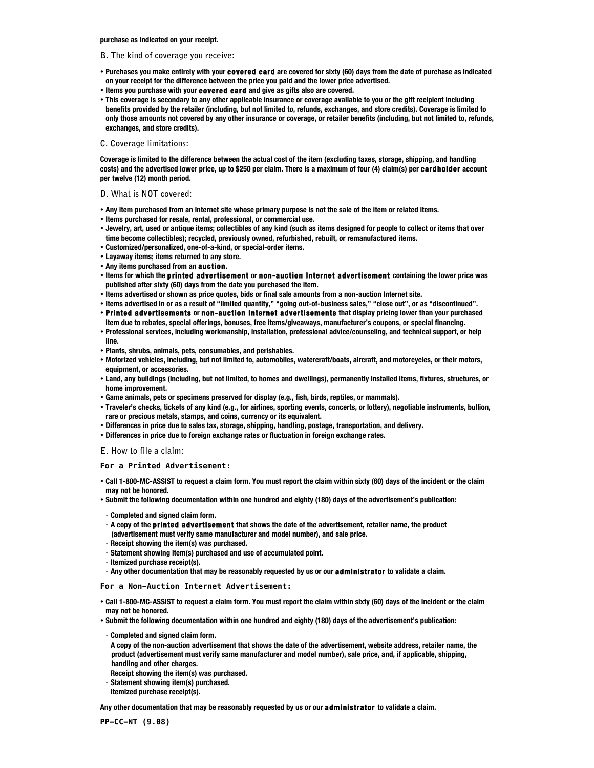**purchase as indicated on your receipt.**

#### **B. The kind of coverage you receive:**

- **Purchases you make entirely with your covered card are covered for sixty (60) days from the date of purchase as indicated on your receipt for the difference between the price you paid and the lower price advertised.**
- **Items you purchase with your covered card and give as gifts also are covered.**
- **This coverage is secondary to any other applicable insurance or coverage available to you or the gift recipient including benefits provided by the retailer (including, but not limited to, refunds, exchanges, and store credits). Coverage is limited to only those amounts not covered by any other insurance or coverage, or retailer benefits (including, but not limited to, refunds, exchanges, and store credits).**

#### **C. Coverage limitations:**

**Coverage is limited to the difference between the actual cost of the item (excluding taxes, storage, shipping, and handling costs) and the advertised lower price, up to \$250 per claim. There is a maximum of four (4) claim(s) per cardholder account per twelve (12) month period.**

#### **D. What is NOT covered:**

- **Any item purchased from an Internet site whose primary purpose is not the sale of the item or related items.**
- **Items purchased for resale, rental, professional, or commercial use.**
- **Jewelry, art, used or antique items; collectibles of any kind (such as items designed for people to collect or items that over time become collectibles); recycled, previously owned, refurbished, rebuilt, or remanufactured items.**
- **Customized/personalized, one-of-a-kind, or special-order items.**
- **Layaway items; items returned to any store.**
- **Any items purchased from an auction.**
- **Items for which the printed advertisement or non-auction Internet advertisement containing the lower price was published after sixty (60) days from the date you purchased the item.**
- **Items advertised or shown as price quotes, bids or final sale amounts from a non-auction Internet site.**
- **Items advertised in or as a result of "limited quantity," "going out-of-business sales," "close out", or as "discontinued".**
- **Printed advertisements or non-auction Internet advertisements that display pricing lower than your purchased**
- **item due to rebates, special offerings, bonuses, free items/giveaways, manufacturer's coupons, or special financing.**  • **Professional services, including workmanship, installation, professional advice/counseling, and technical support, or help line.**
- **Plants, shrubs, animals, pets, consumables, and perishables.**
- **Motorized vehicles, including, but not limited to, automobiles, watercraft/boats, aircraft, and motorcycles, or their motors, equipment, or accessories.**
- **Land, any buildings (including, but not limited, to homes and dwellings), permanently installed items, fixtures, structures, or home improvement.**
- **Game animals, pets or specimens preserved for display (e.g., fish, birds, reptiles, or mammals).**
- **Traveler's checks, tickets of any kind (e.g., for airlines, sporting events, concerts, or lottery), negotiable instruments, bullion, rare or precious metals, stamps, and coins, currency or its equivalent.**
- **Differences in price due to sales tax, storage, shipping, handling, postage, transportation, and delivery.**
- **Differences in price due to foreign exchange rates or fluctuation in foreign exchange rates.**
- **E. How to file a claim:**

#### **For a Printed Advertisement:**

- **Call 1-800-MC-ASSIST to request a claim form. You must report the claim within sixty (60) days of the incident or the claim may not be honored.**
- **Submit the following documentation within one hundred and eighty (180) days of the advertisement's publication:**
- **Completed and signed claim form.**
- **A copy of the printed advertisement that shows the date of the advertisement, retailer name, the product (advertisement must verify same manufacturer and model number), and sale price.**
- **Receipt showing the item(s) was purchased.**
- **Statement showing item(s) purchased and use of accumulated point.**
- **Itemized purchase receipt(s).**
- **Any other documentation that may be reasonably requested by us or our administrator to validate a claim.**

**For a Non-Auction Internet Advertisement:**

- **Call 1-800-MC-ASSIST to request a claim form. You must report the claim within sixty (60) days of the incident or the claim may not be honored.**
- **Submit the following documentation within one hundred and eighty (180) days of the advertisement's publication:**
- **Completed and signed claim form.**
- **A copy of the non-auction advertisement that shows the date of the advertisement, website address, retailer name, the product (advertisement must verify same manufacturer and model number), sale price, and, if applicable, shipping, handling and other charges.**
- **Receipt showing the item(s) was purchased.**
- **Statement showing item(s) purchased.**
- **Itemized purchase receipt(s).**

**Any other documentation that may be reasonably requested by us or our administrator to validate a claim.**

**PP-CC-NT (9.08)**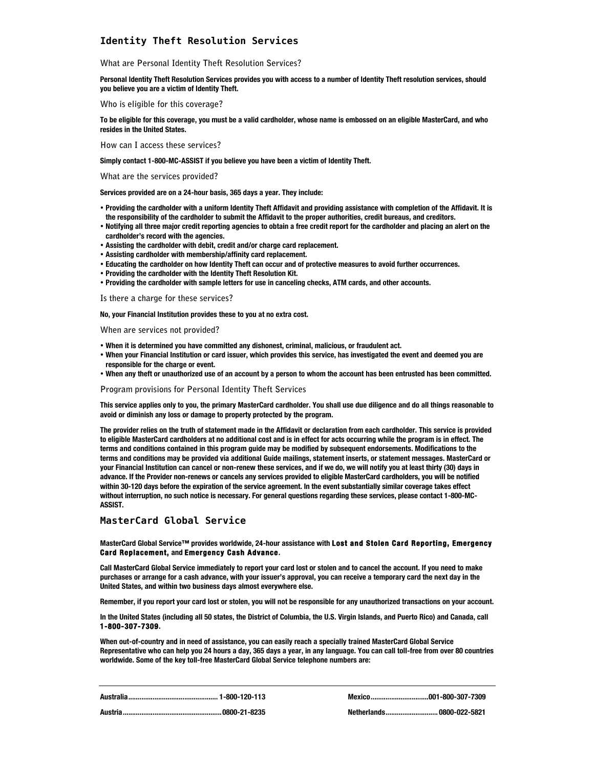# **Identity Theft Resolution Services**

**What are Personal Identity Theft Resolution Services?**

**Personal Identity Theft Resolution Services provides you with access to a number of Identity Theft resolution services, should you believe you are a victim of Identity Theft.**

**Who is eligible for this coverage?**

**To be eligible for this coverage, you must be a valid cardholder, whose name is embossed on an eligible MasterCard, and who resides in the United States.**

**How can I access these services?**

**Simply contact 1-800-MC-ASSIST if you believe you have been a victim of Identity Theft.**

**What are the services provided?**

**Services provided are on a 24-hour basis, 365 days a year. They include:**

- **Providing the cardholder with a uniform Identity Theft Affidavit and providing assistance with completion of the Affidavit. It is the responsibility of the cardholder to submit the Affidavit to the proper authorities, credit bureaus, and creditors.**
- **Notifying all three major credit reporting agencies to obtain a free credit report for the cardholder and placing an alert on the cardholder's record with the agencies.**
- **Assisting the cardholder with debit, credit and/or charge card replacement.**
- **Assisting cardholder with membership/affinity card replacement.**
- **Educating the cardholder on how Identity Theft can occur and of protective measures to avoid further occurrences.**
- **Providing the cardholder with the Identity Theft Resolution Kit.**
- **Providing the cardholder with sample letters for use in canceling checks, ATM cards, and other accounts.**

**Is there a charge for these services?**

**No, your Financial Institution provides these to you at no extra cost.**

**When are services not provided?**

- **When it is determined you have committed any dishonest, criminal, malicious, or fraudulent act.**
- **When your Financial Institution or card issuer, which provides this service, has investigated the event and deemed you are responsible for the charge or event.**
- **When any theft or unauthorized use of an account by a person to whom the account has been entrusted has been committed.**

**Program provisions for Personal Identity Theft Services**

**This service applies only to you, the primary MasterCard cardholder. You shall use due diligence and do all things reasonable to avoid or diminish any loss or damage to property protected by the program.**

**The provider relies on the truth of statement made in the Affidavit or declaration from each cardholder. This service is provided to eligible MasterCard cardholders at no additional cost and is in effect for acts occurring while the program is in effect. The terms and conditions contained in this program guide may be modified by subsequent endorsements. Modifications to the terms and conditions may be provided via additional Guide mailings, statement inserts, or statement messages. MasterCard or your Financial Institution can cancel or non-renew these services, and if we do, we will notify you at least thirty (30) days in advance. If the Provider non-renews or cancels any services provided to eligible MasterCard cardholders, you will be notified within 30-120 days before the expiration of the service agreement. In the event substantially similar coverage takes effect without interruption, no such notice is necessary. For general questions regarding these services, please contact 1-800-MC-ASSIST.**

## **MasterCard Global Service**

#### **MasterCard Global Service™ provides worldwide, 24-hour assistance with Lost and Stolen Card Reporting, Emergency Card Replacement, and Emergency Cash Advance.**

**Call MasterCard Global Service immediately to report your card lost or stolen and to cancel the account. If you need to make purchases or arrange for a cash advance, with your issuer's approval, you can receive a temporary card the next day in the United States, and within two business days almost everywhere else.**

**Remember, if you report your card lost or stolen, you will not be responsible for any unauthorized transactions on your account.**

**In the United States (including all 50 states, the District of Columbia, the U.S. Virgin Islands, and Puerto Rico) and Canada, call 1-800-307-7309.** 

**When out-of-country and in need of assistance, you can easily reach a specially trained MasterCard Global Service Representative who can help you 24 hours a day, 365 days a year, in any language. You can call toll-free from over 80 countries worldwide. Some of the key toll-free MasterCard Global Service telephone numbers are:**

**Australia................................................ 1-800-120-113 Mexico...............................001-800-307-7309**

**Austria.....................................................0800-21-8235 Netherlands............................ 0800-022-5821**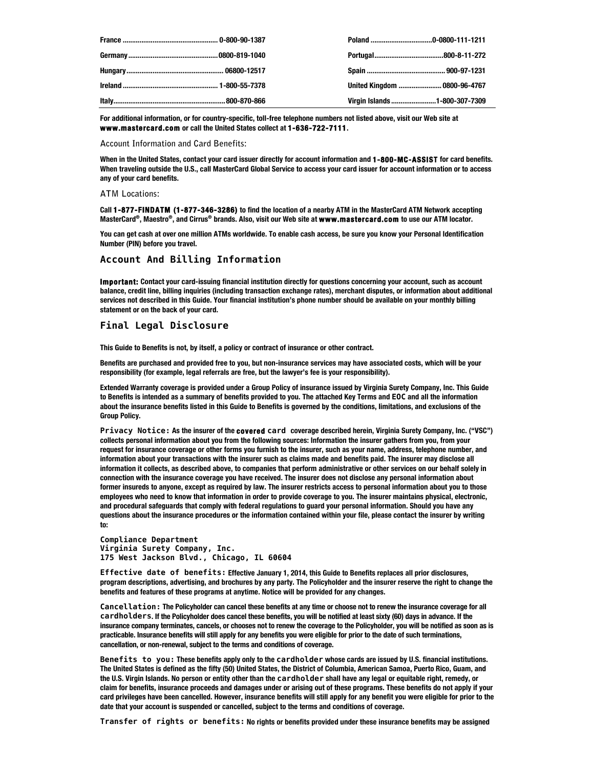|  | United Kingdom  0800-96-4767  |
|--|-------------------------------|
|  | Virgin Islands 1-800-307-7309 |

**For additional information, or for country-specific, toll-free telephone numbers not listed above, visit our Web site at www.mastercard.com or call the United States collect at 1-636-722-7111.**

**Account Information and Card Benefits:**

**When in the United States, contact your card issuer directly for account information and 1-800-MC-ASSIST for card benefits. When traveling outside the U.S., call MasterCard Global Service to access your card issuer for account information or to access any of your card benefits.**

#### **ATM Locations:**

**Call 1-877-FINDATM (1-877-346-3286) to find the location of a nearby ATM in the MasterCard ATM Network accepting MasterCard®, Maestro®, and Cirrus® brands. Also, visit our Web site at www.mastercard.com to use our ATM locator.** 

**You can get cash at over one million ATMs worldwide. To enable cash access, be sure you know your Personal Identification Number (PIN) before you travel.**

#### **Account And Billing Information**

**Important: Contact your card-issuing financial institution directly for questions concerning your account, such as account balance, credit line, billing inquiries (including transaction exchange rates), merchant disputes, or information about additional services not described in this Guide. Your financial institution's phone number should be available on your monthly billing statement or on the back of your card.**

# **Final Legal Disclosure**

**This Guide to Benefits is not, by itself, a policy or contract of insurance or other contract.**

**Benefits are purchased and provided free to you, but non-insurance services may have associated costs, which will be your responsibility (for example, legal referrals are free, but the lawyer's fee is your responsibility).**

**Extended Warranty coverage is provided under a Group Policy of insurance issued by Virginia Surety Company, Inc. This Guide to Benefits is intended as a summary of benefits provided to you. The attached Key Terms and EOC and all the information about the insurance benefits listed in this Guide to Benefits is governed by the conditions, limitations, and exclusions of the Group Policy.** 

**Privacy Notice: As the insurer of the covered card coverage described herein, Virginia Surety Company, Inc. ("VSC") collects personal information about you from the following sources: Information the insurer gathers from you, from your request for insurance coverage or other forms you furnish to the insurer, such as your name, address, telephone number, and information about your transactions with the insurer such as claims made and benefits paid. The insurer may disclose all information it collects, as described above, to companies that perform administrative or other services on our behalf solely in connection with the insurance coverage you have received. The insurer does not disclose any personal information about former insureds to anyone, except as required by law. The insurer restricts access to personal information about you to those employees who need to know that information in order to provide coverage to you. The insurer maintains physical, electronic, and procedural safeguards that comply with federal regulations to guard your personal information. Should you have any questions about the insurance procedures or the information contained within your file, please contact the insurer by writing to:**

**Compliance Department Virginia Surety Company, Inc. 175 West Jackson Blvd., Chicago, IL 60604**

**Effective date of benefits: Effective January 1, 2014, this Guide to Benefits replaces all prior disclosures, program descriptions, advertising, and brochures by any party. The Policyholder and the insurer reserve the right to change the benefits and features of these programs at anytime. Notice will be provided for any changes.**

**Cancellation: The Policyholder can cancel these benefits at any time or choose not to renew the insurance coverage for all cardholders. If the Policyholder does cancel these benefits, you will be notified at least sixty (60) days in advance. If the insurance company terminates, cancels, or chooses not to renew the coverage to the Policyholder, you will be notified as soon as is practicable. Insurance benefits will still apply for any benefits you were eligible for prior to the date of such terminations, cancellation, or non-renewal, subject to the terms and conditions of coverage.**

**Benefits to you: These benefits apply only to the cardholder whose cards are issued by U.S. financial institutions. The United States is defined as the fifty (50) United States, the District of Columbia, American Samoa, Puerto Rico, Guam, and the U.S. Virgin Islands. No person or entity other than the cardholder shall have any legal or equitable right, remedy, or claim for benefits, insurance proceeds and damages under or arising out of these programs. These benefits do not apply if your card privileges have been cancelled. However, insurance benefits will still apply for any benefit you were eligible for prior to the date that your account is suspended or cancelled, subject to the terms and conditions of coverage.**

**Transfer of rights or benefits: No rights or benefits provided under these insurance benefits may be assigned**